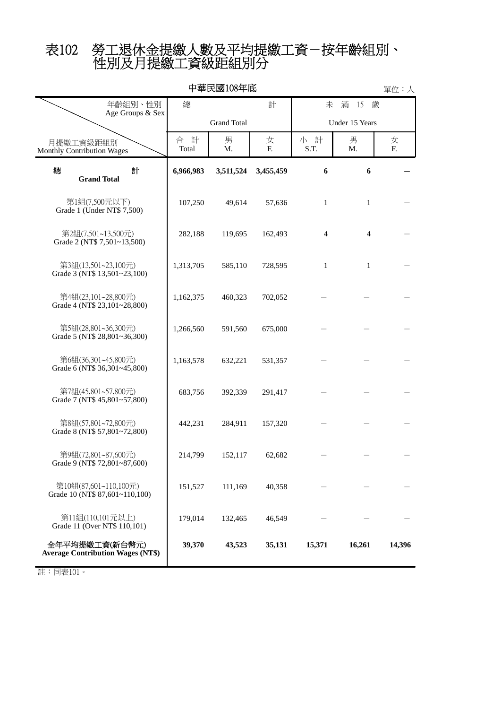# 性別及月提繳工資級距組別分 表102 勞工退休金提繳人數及平均提繳工資-按年齡組別、

| 中華民國108年底<br>單位:人                                          |                 |                    |           |                |                |         |  |
|------------------------------------------------------------|-----------------|--------------------|-----------|----------------|----------------|---------|--|
| 年齡組別、性別<br>Age Groups & Sex                                | 總               |                    | 計         | 未              | 滿<br>15<br>歲   |         |  |
|                                                            |                 | <b>Grand Total</b> |           | Under 15 Years |                |         |  |
| 月提繳工資級距組別<br>Monthly Contribution Wages                    | 計<br>合<br>Total | 男<br>M.            | 女<br>F.   | 小 計<br>S.T.    | 男<br>М.        | 女<br>F. |  |
| 總<br>計<br><b>Grand Total</b>                               | 6,966,983       | 3,511,524          | 3,455,459 | 6              | 6              |         |  |
| 第1組(7,500元以下)<br>Grade 1 (Under NT\$ 7,500)                | 107,250         | 49,614             | 57,636    | $\mathbf{1}$   | $\mathbf{1}$   |         |  |
| 第2組(7,501~13,500元)<br>Grade 2 (NT\$ 7,501~13,500)          | 282,188         | 119,695            | 162,493   | 4              | $\overline{4}$ |         |  |
| 第3組(13,501~23,100元)<br>Grade 3 (NT\$ 13,501~23,100)        | 1,313,705       | 585,110            | 728,595   | $\mathbf{1}$   | $\mathbf{1}$   |         |  |
| 第4組(23,101~28,800元)<br>Grade 4 (NT\$ 23,101~28,800)        | 1,162,375       | 460,323            | 702,052   |                |                |         |  |
| 第5組(28,801~36,300元)<br>Grade 5 (NT\$ 28,801~36,300)        | 1,266,560       | 591,560            | 675,000   |                |                |         |  |
| 第6組(36,301~45,800元)<br>Grade 6 (NT\$ 36,301~45,800)        | 1,163,578       | 632,221            | 531,357   |                |                |         |  |
| 第7組(45,801~57,800元)<br>Grade 7 (NT\$ 45,801~57,800)        | 683,756         | 392,339            | 291,417   |                |                |         |  |
| 第8組(57,801~72,800元)<br>Grade 8 (NT\$ 57,801~72,800)        | 442,231         | 284,911            | 157,320   |                |                |         |  |
| 第9組(72,801~87,600元)<br>Grade 9 (NT\$ 72,801~87,600)        | 214,799         | 152.117            | 62,682    |                |                |         |  |
| 第10組(87,601~110,100元)<br>Grade 10 (NT\$ 87,601~110,100)    | 151,527         | 111,169            | 40,358    |                |                |         |  |
| 第11組(110,101元以上)<br>Grade 11 (Over NT\$ 110,101)           | 179,014         | 132,465            | 46,549    |                |                |         |  |
| 全年平均提繳工資(新台幣元)<br><b>Average Contribution Wages (NT\$)</b> | 39,370          | 43,523             | 35,131    | 15,371         | 16,261         | 14,396  |  |

註:同表101。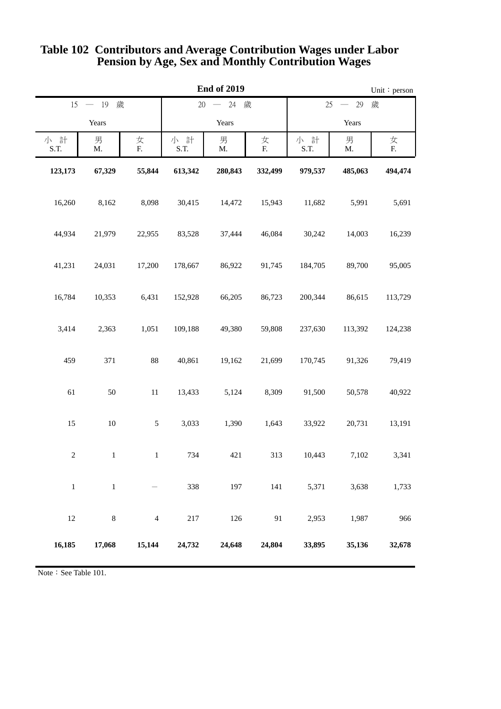| <b>End of 2019</b> |                    |                |             |                                                             |         | Unit: person |         |         |
|--------------------|--------------------|----------------|-------------|-------------------------------------------------------------|---------|--------------|---------|---------|
|                    | 15 - 19 歲          |                |             | 歲<br>$20 - 24$<br>歲<br>25<br>29<br>$\overline{\phantom{m}}$ |         |              |         |         |
|                    | Years              |                | Years       |                                                             | Years   |              |         |         |
| 小 計<br>S.T.        | 男<br>$\mathbf{M}.$ | 女<br>F.        | 小 計<br>S.T. | 男<br>M.                                                     | 女<br>F. | 小 計<br>S.T.  | 男<br>M. | 女<br>F. |
| 123,173            | 67,329             | 55,844         | 613,342     | 280,843                                                     | 332,499 | 979,537      | 485,063 | 494,474 |
| 16,260             | 8,162              | 8,098          | 30,415      | 14,472                                                      | 15,943  | 11,682       | 5,991   | 5,691   |
| 44,934             | 21,979             | 22,955         | 83,528      | 37,444                                                      | 46,084  | 30,242       | 14,003  | 16,239  |
| 41,231             | 24,031             | 17,200         | 178,667     | 86,922                                                      | 91,745  | 184,705      | 89,700  | 95,005  |
| 16,784             | 10,353             | 6,431          | 152,928     | 66,205                                                      | 86,723  | 200,344      | 86,615  | 113,729 |
| 3,414              | 2,363              | 1,051          | 109,188     | 49,380                                                      | 59,808  | 237,630      | 113,392 | 124,238 |
| 459                | 371                | $88\,$         | 40,861      | 19,162                                                      | 21,699  | 170,745      | 91,326  | 79,419  |
| 61                 | $50\,$             | $11\,$         | 13,433      | 5,124                                                       | 8,309   | 91,500       | 50,578  | 40,922  |
| 15                 | $10\,$             | $\mathfrak s$  | 3,033       | 1,390                                                       | 1,643   | 33,922       | 20,731  | 13,191  |
| $\sqrt{2}$         | $1\,$              | $\mathbf{1}$   | 734         | 421                                                         | 313     | 10,443       | 7,102   | 3,341   |
| $\,1\,$            | $\,1\,$            |                | 338         | 197                                                         | 141     | 5,371        | 3,638   | 1,733   |
| 12                 | $\,8\,$            | $\overline{4}$ | 217         | 126                                                         | 91      | 2,953        | 1,987   | 966     |
| 16,185             | 17,068             | 15,144         | 24,732      | 24,648                                                      | 24,804  | 33,895       | 35,136  | 32,678  |

### **Pension by Age, Sex and Monthly Contribution Wages Table 102 Contributors and Average Contribution Wages under Labor**

Note: See Table 101.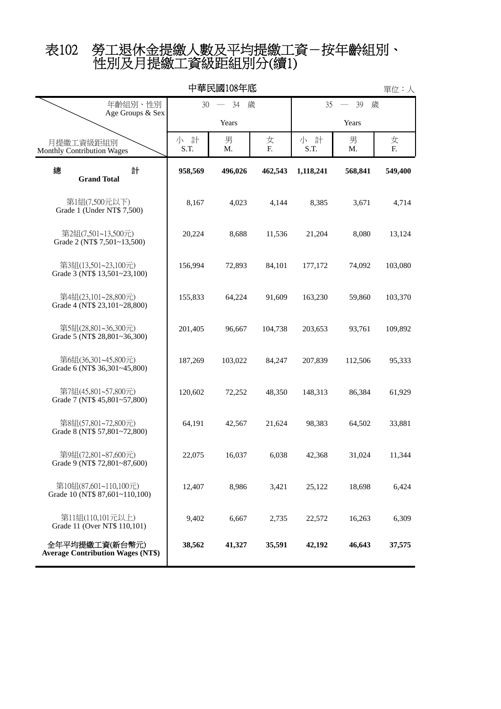# 性別及月提繳工資級距組別分(續1) 表102 勞工退休金提繳人數及平均提繳工資-按年齡組別、

| 中華民國108年底<br>單位:人                                          |               |         |         |                                           |         |         |  |
|------------------------------------------------------------|---------------|---------|---------|-------------------------------------------|---------|---------|--|
| 年齡組別、性別<br>Age Groups & Sex                                | 34<br>歲<br>30 |         |         | 35<br>39<br>歲<br>$\overline{\phantom{a}}$ |         |         |  |
|                                                            |               | Years   |         |                                           | Years   |         |  |
| 月提繳工資級距組別<br>Monthly Contribution Wages                    | 小 計<br>S.T.   | 男<br>M. | 女<br>F. | 小 計<br>S.T.                               | 男<br>M. | 女<br>F. |  |
| 總<br>計<br><b>Grand Total</b>                               | 958,569       | 496,026 | 462,543 | 1,118,241                                 | 568,841 | 549,400 |  |
| 第1組(7,500元以下)<br>Grade 1 (Under NT\$ 7,500)                | 8,167         | 4,023   | 4,144   | 8,385                                     | 3,671   | 4,714   |  |
| 第2組(7,501~13,500元)<br>Grade 2 (NT\$ 7,501~13,500)          | 20,224        | 8,688   | 11,536  | 21,204                                    | 8,080   | 13,124  |  |
| 第3組(13,501~23,100元)<br>Grade 3 (NT\$ 13,501~23,100)        | 156,994       | 72,893  | 84,101  | 177,172                                   | 74,092  | 103,080 |  |
| 第4組(23,101~28,800元)<br>Grade 4 (NT\$ 23,101~28,800)        | 155,833       | 64,224  | 91,609  | 163,230                                   | 59,860  | 103,370 |  |
| 第5組(28,801~36,300元)<br>Grade 5 (NT\$ 28,801~36,300)        | 201,405       | 96,667  | 104,738 | 203,653                                   | 93,761  | 109,892 |  |
| 第6組(36,301~45,800元)<br>Grade 6 (NT\$ 36,301~45,800)        | 187,269       | 103,022 | 84,247  | 207,839                                   | 112,506 | 95,333  |  |
| 第7組(45,801~57,800元)<br>Grade 7 (NT\$ 45,801~57,800)        | 120,602       | 72,252  | 48,350  | 148,313                                   | 86,384  | 61,929  |  |
| 第8組(57,801~72,800元)<br>Grade 8 (NT\$ 57,801~72,800)        | 64,191        | 42,567  | 21,624  | 98,383                                    | 64,502  | 33,881  |  |
| 第9組(72,801~87,600元)<br>Grade 9 (NT\$ 72,801~87,600)        | 22,075        | 16,037  | 6,038   | 42,368                                    | 31,024  | 11,344  |  |
| 第10組(87,601~110,100元)<br>Grade 10 (NT\$ 87,601~110,100)    | 12,407        | 8,986   | 3,421   | 25,122                                    | 18,698  | 6,424   |  |
| 第11組(110,101元以上)<br>Grade 11 (Over NT\$ 110,101)           | 9,402         | 6,667   | 2,735   | 22,572                                    | 16,263  | 6,309   |  |
| 全年平均提繳工資(新台幣元)<br><b>Average Contribution Wages (NT\$)</b> | 38,562        | 41,327  | 35,591  | 42,192                                    | 46,643  | 37,575  |  |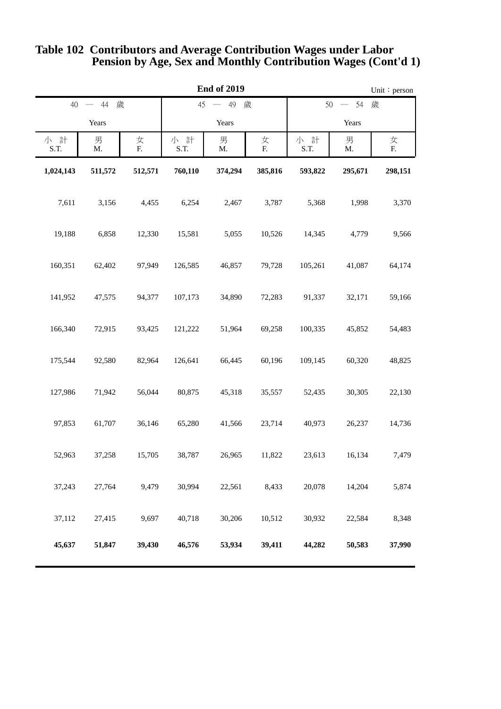| <b>End of 2019</b> |                                |                 |             |         | Unit: person                                     |             |         |         |
|--------------------|--------------------------------|-----------------|-------------|---------|--------------------------------------------------|-------------|---------|---------|
|                    | 歲<br>歲<br>40<br>44<br>45<br>49 |                 |             |         | 歲<br>50<br>54<br>$\hspace{0.1mm}-\hspace{0.1mm}$ |             |         |         |
|                    | Years                          |                 | Years       |         | Years                                            |             |         |         |
| 小 計<br>S.T.        | 男<br>Μ.                        | 女<br>${\bf F}.$ | 小 計<br>S.T. | 男<br>M. | 女<br>F.                                          | 小 計<br>S.T. | 男<br>M. | 女<br>E. |
| 1,024,143          | 511,572                        | 512,571         | 760,110     | 374,294 | 385,816                                          | 593,822     | 295,671 | 298,151 |
| 7,611              | 3,156                          | 4,455           | 6,254       | 2,467   | 3,787                                            | 5,368       | 1,998   | 3,370   |
| 19,188             | 6,858                          | 12,330          | 15,581      | 5,055   | 10,526                                           | 14,345      | 4,779   | 9,566   |
| 160,351            | 62,402                         | 97,949          | 126,585     | 46,857  | 79,728                                           | 105,261     | 41,087  | 64,174  |
| 141,952            | 47,575                         | 94,377          | 107,173     | 34,890  | 72,283                                           | 91,337      | 32,171  | 59,166  |
| 166,340            | 72,915                         | 93,425          | 121,222     | 51,964  | 69,258                                           | 100,335     | 45,852  | 54,483  |
| 175,544            | 92,580                         | 82,964          | 126,641     | 66,445  | 60,196                                           | 109,145     | 60,320  | 48,825  |
| 127,986            | 71,942                         | 56,044          | 80,875      | 45,318  | 35,557                                           | 52,435      | 30,305  | 22,130  |
| 97,853             | 61,707                         | 36,146          | 65,280      | 41,566  | 23,714                                           | 40,973      | 26,237  | 14,736  |
| 52,963             | 37,258                         | 15,705          | 38,787      | 26,965  | 11,822                                           | 23,613      | 16,134  | 7,479   |
| 37,243             | 27,764                         | 9,479           | 30,994      | 22,561  | 8,433                                            | 20,078      | 14,204  | 5,874   |
| 37,112             | 27,415                         | 9,697           | 40,718      | 30,206  | 10,512                                           | 30,932      | 22,584  | 8,348   |
| 45,637             | 51,847                         | 39,430          | 46,576      | 53,934  | 39,411                                           | 44,282      | 50,583  | 37,990  |

#### **Pension by Age, Sex and Monthly Contribution Wages (Cont'd 1) Table 102 Contributors and Average Contribution Wages under Labor**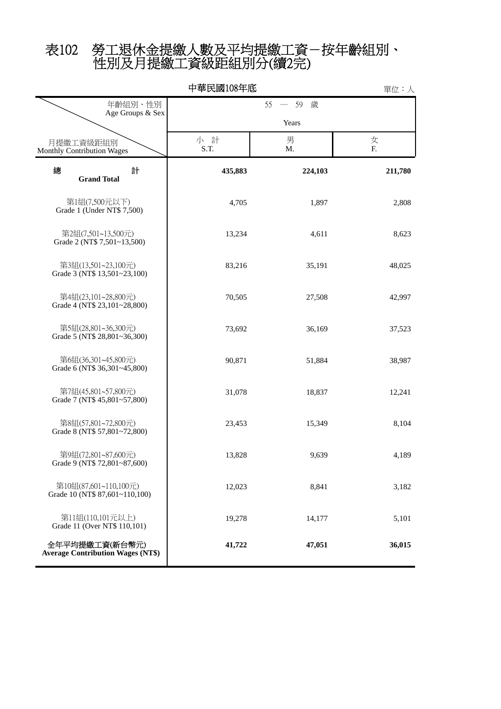# 性別及月提繳工資級距組別分(續2完) 表102 勞工退休金提繳人數及平均提繳工資-按年齡組別、

|                                                            | 中華民國108年底    |         | 單位:人    |  |  |
|------------------------------------------------------------|--------------|---------|---------|--|--|
| 年齡組別、性別<br>Age Groups & Sex                                | 一 59 歲<br>55 |         |         |  |  |
|                                                            |              | Years   |         |  |  |
| 月提繳工資級距組別<br>Monthly Contribution Wages                    | 小 計<br>S.T.  | 男<br>M. | 女<br>F. |  |  |
| 總<br>計<br><b>Grand Total</b>                               | 435,883      | 224,103 | 211,780 |  |  |
| 第1組(7,500元以下)<br>Grade 1 (Under NT\$ 7,500)                | 4,705        | 1,897   | 2,808   |  |  |
| 第2組(7,501~13,500元)<br>Grade 2 (NT\$ 7,501~13,500)          | 13,234       | 4,611   | 8,623   |  |  |
| 第3組(13,501~23,100元)<br>Grade 3 (NT\$ 13,501~23,100)        | 83,216       | 35,191  | 48,025  |  |  |
| 第4組(23,101~28,800元)<br>Grade 4 (NT\$ 23,101~28,800)        | 70,505       | 27,508  | 42,997  |  |  |
| 第5組(28,801~36,300元)<br>Grade 5 (NT\$ 28,801~36,300)        | 73,692       | 36,169  | 37,523  |  |  |
| 第6組(36,301~45,800元)<br>Grade 6 (NT\$ 36,301~45,800)        | 90,871       | 51,884  | 38,987  |  |  |
| 第7組(45,801~57,800元)<br>Grade 7 (NT\$ 45,801~57,800)        | 31,078       | 18,837  | 12,241  |  |  |
| 第8組(57,801~72,800元)<br>Grade 8 (NT\$ 57,801~72,800)        | 23,453       | 15,349  | 8,104   |  |  |
| 第9組(72,801~87,600元)<br>Grade 9 (NT\$ 72,801~87,600)        | 13,828       | 9,639   | 4,189   |  |  |
| 第10組(87,601~110,100元)<br>Grade 10 (NT\$ 87,601~110,100)    | 12,023       | 8,841   | 3,182   |  |  |
| 第11組(110,101元以上)<br>Grade 11 (Over NT\$ 110,101)           | 19,278       | 14,177  | 5,101   |  |  |
| 全年平均提繳工資(新台幣元)<br><b>Average Contribution Wages (NT\$)</b> | 41,722       | 47,051  | 36,015  |  |  |